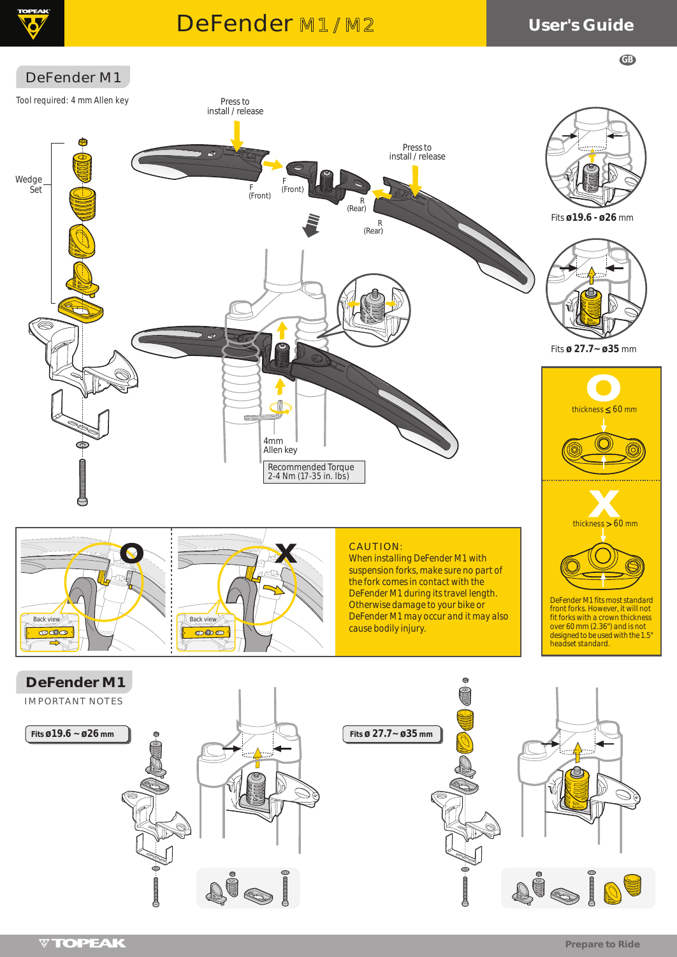